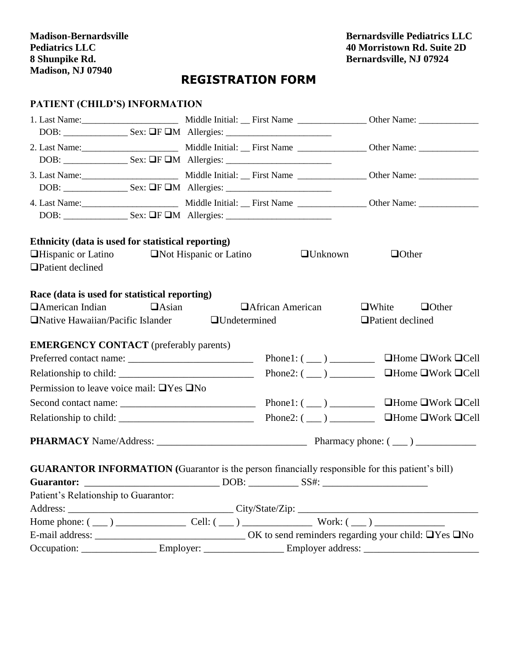**Bernardsville Pediatrics LLC 40 Morristown Rd. Suite 2D Bernardsville, NJ 07924**

## **REGISTRATION FORM**

## **PATIENT (CHILD'S) INFORMATION**

| Ethnicity (data is used for statistical reporting)                                                             |                          |                                                                                                                                                                                                                                                                    |
|----------------------------------------------------------------------------------------------------------------|--------------------------|--------------------------------------------------------------------------------------------------------------------------------------------------------------------------------------------------------------------------------------------------------------------|
| $\Box$ Hispanic or Latino $\Box$ Not Hispanic or Latino                                                        | $\Box$ Unknown           | $\Box$ Other                                                                                                                                                                                                                                                       |
| □ Patient declined                                                                                             |                          |                                                                                                                                                                                                                                                                    |
| Race (data is used for statistical reporting)                                                                  |                          |                                                                                                                                                                                                                                                                    |
| $\Box$ American Indian<br>$\Box$ Asian                                                                         | <b>DAfrican American</b> | $\Box$ Other<br>$\Box$ White                                                                                                                                                                                                                                       |
| $\Box$ Native Hawaiian/Pacific Islander $\Box$ Undetermined                                                    |                          | □ Patient declined                                                                                                                                                                                                                                                 |
|                                                                                                                |                          |                                                                                                                                                                                                                                                                    |
| <b>EMERGENCY CONTACT</b> (preferably parents)                                                                  |                          |                                                                                                                                                                                                                                                                    |
|                                                                                                                | Phone1: $(\_\_)$         | $\Box$ Home $\Box$ Work $\Box$ Cell                                                                                                                                                                                                                                |
|                                                                                                                |                          | Phone2: $(\_\_)$ $\_\_$ $\_\_$ $\_\_$ $\_\_$ $\_\_$ $\_\_$ $\_\_$ $\_\_$ $\_\_$ $\_\_$ $\_\_$ $\_\_$ $\_\_$ $\_\_$ $\_\_$ $\_\_$ $\_\_$ $\_\_$ $\_\_$ $\_\_$ $\_\_$ $\_\_$ $\_\_$ $\_\_$ $\_\_$ $\_\_$ $\_\_$ $\_\_$ $\_\_$ $\_\_$ $\_\_$ $\_\_$ $\_\_$ $\_\_$ $\$ |
| Permission to leave voice mail: $\Box$ Yes $\Box$ No                                                           |                          |                                                                                                                                                                                                                                                                    |
|                                                                                                                |                          |                                                                                                                                                                                                                                                                    |
|                                                                                                                |                          | $\Box$ Home $\Box$ Work $\Box$ Cell                                                                                                                                                                                                                                |
|                                                                                                                |                          |                                                                                                                                                                                                                                                                    |
|                                                                                                                |                          |                                                                                                                                                                                                                                                                    |
| <b>GUARANTOR INFORMATION</b> (Guarantor is the person financially responsible for this patient's bill)         |                          |                                                                                                                                                                                                                                                                    |
|                                                                                                                |                          |                                                                                                                                                                                                                                                                    |
| Patient's Relationship to Guarantor:                                                                           |                          |                                                                                                                                                                                                                                                                    |
|                                                                                                                |                          |                                                                                                                                                                                                                                                                    |
|                                                                                                                |                          |                                                                                                                                                                                                                                                                    |
|                                                                                                                |                          |                                                                                                                                                                                                                                                                    |
| Occupation: ________________________Employer: ____________________Employer address: __________________________ |                          |                                                                                                                                                                                                                                                                    |